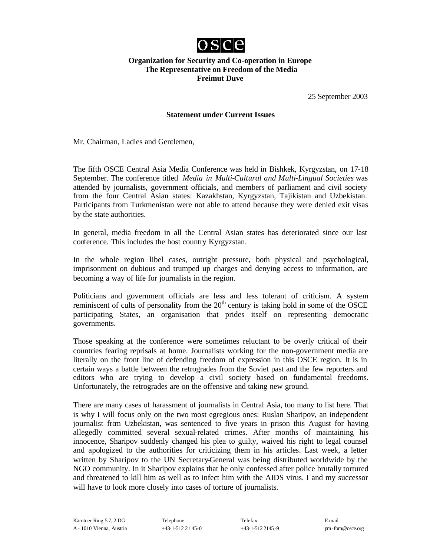

## **Organization for Security and Co-operation in Europe The Representative on Freedom of the Media Freimut Duve**

25 September 2003

## **Statement under Current Issues**

Mr. Chairman, Ladies and Gentlemen,

The fifth OSCE Central Asia Media Conference was held in Bishkek, Kyrgyzstan, on 17-18 September. The conference titled *Media in Multi-Cultural and Multi-Lingual Societies* was attended by journalists, government officials, and members of parliament and civil society from the four Central Asian states: Kazakhstan, Kyrgyzstan, Tajikistan and Uzbekistan. Participants from Turkmenistan were not able to attend because they were denied exit visas by the state authorities.

In general, media freedom in all the Central Asian states has deteriorated since our last conference. This includes the host country Kyrgyzstan.

In the whole region libel cases, outright pressure, both physical and psychological, imprisonment on dubious and trumped up charges and denying access to information, are becoming a way of life for journalists in the region.

Politicians and government officials are less and less tolerant of criticism. A system reminiscent of cults of personality from the  $20<sup>th</sup>$  century is taking hold in some of the OSCE participating States, an organisation that prides itself on representing democratic governments.

Those speaking at the conference were sometimes reluctant to be overly critical of their countries fearing reprisals at home. Journalists working for the non-government media are literally on the front line of defending freedom of expression in this OSCE region. It is in certain ways a battle between the retrogrades from the Soviet past and the few reporters and editors who are trying to develop a civil society based on fundamental freedoms. Unfortunately, the retrogrades are on the offensive and taking new ground.

There are many cases of harassment of journalists in Central Asia, too many to list here. That is why I will focus only on the two most egregious ones: Ruslan Sharipov, an independent journalist from Uzbekistan, was sentenced to five years in prison this August for having allegedly committed several sexual-related crimes. After months of maintaining his innocence, Sharipov suddenly changed his plea to guilty, waived his right to legal counsel and apologized to the authorities for criticizing them in his articles. Last week, a letter written by Sharipov to the UN Secretary-General was being distributed worldwide by the NGO community. In it Sharipov explains that he only confessed after police brutally tortured and threatened to kill him as well as to infect him with the AIDS virus. I and my successor will have to look more closely into cases of torture of journalists.